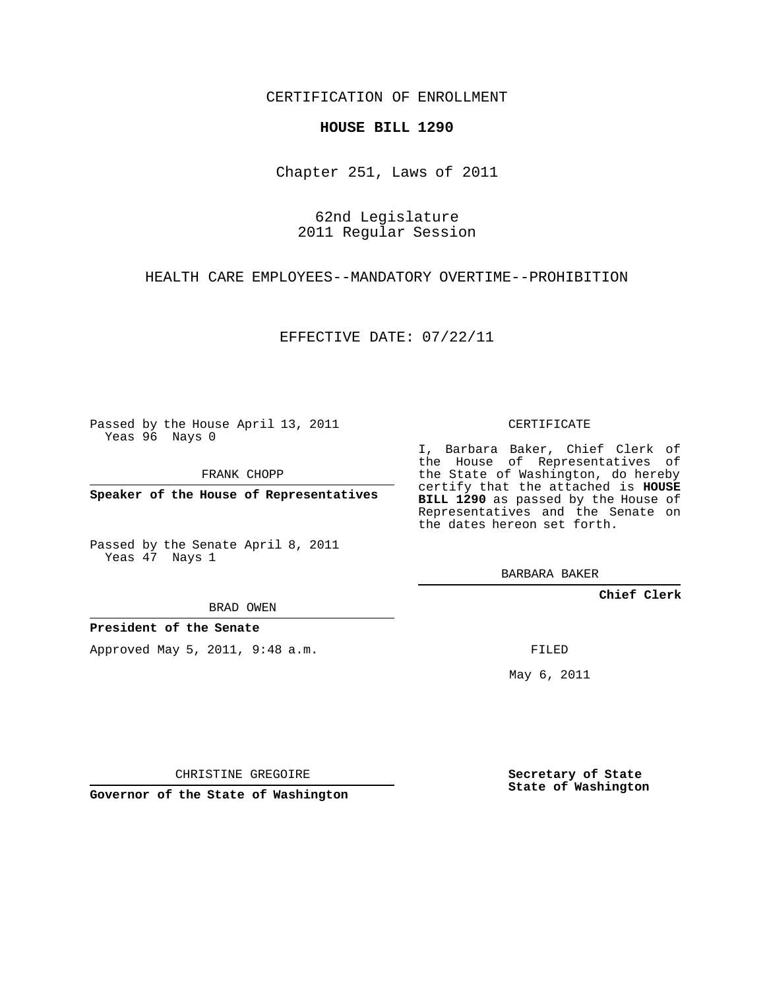CERTIFICATION OF ENROLLMENT

## **HOUSE BILL 1290**

Chapter 251, Laws of 2011

62nd Legislature 2011 Regular Session

HEALTH CARE EMPLOYEES--MANDATORY OVERTIME--PROHIBITION

EFFECTIVE DATE: 07/22/11

Passed by the House April 13, 2011 Yeas 96 Nays 0

FRANK CHOPP

**Speaker of the House of Representatives**

Passed by the Senate April 8, 2011 Yeas 47 Nays 1

BRAD OWEN

**President of the Senate**

Approved May 5, 2011, 9:48 a.m.

CERTIFICATE

I, Barbara Baker, Chief Clerk of the House of Representatives of the State of Washington, do hereby certify that the attached is **HOUSE BILL 1290** as passed by the House of Representatives and the Senate on the dates hereon set forth.

BARBARA BAKER

**Chief Clerk**

FILED

May 6, 2011

**Secretary of State State of Washington**

CHRISTINE GREGOIRE

**Governor of the State of Washington**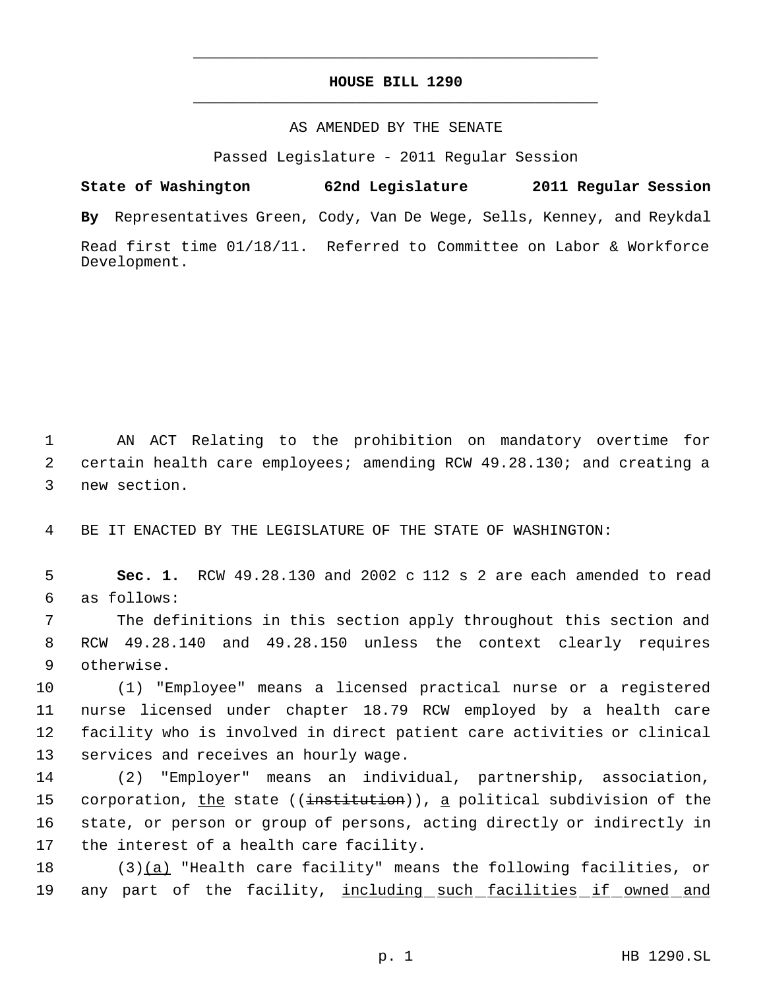## **HOUSE BILL 1290** \_\_\_\_\_\_\_\_\_\_\_\_\_\_\_\_\_\_\_\_\_\_\_\_\_\_\_\_\_\_\_\_\_\_\_\_\_\_\_\_\_\_\_\_\_

\_\_\_\_\_\_\_\_\_\_\_\_\_\_\_\_\_\_\_\_\_\_\_\_\_\_\_\_\_\_\_\_\_\_\_\_\_\_\_\_\_\_\_\_\_

## AS AMENDED BY THE SENATE

Passed Legislature - 2011 Regular Session

**State of Washington 62nd Legislature 2011 Regular Session By** Representatives Green, Cody, Van De Wege, Sells, Kenney, and Reykdal Read first time 01/18/11. Referred to Committee on Labor & Workforce Development.

 1 AN ACT Relating to the prohibition on mandatory overtime for 2 certain health care employees; amending RCW 49.28.130; and creating a 3 new section.

4 BE IT ENACTED BY THE LEGISLATURE OF THE STATE OF WASHINGTON:

 5 **Sec. 1.** RCW 49.28.130 and 2002 c 112 s 2 are each amended to read 6 as follows:

 7 The definitions in this section apply throughout this section and 8 RCW 49.28.140 and 49.28.150 unless the context clearly requires 9 otherwise.

 (1) "Employee" means a licensed practical nurse or a registered nurse licensed under chapter 18.79 RCW employed by a health care facility who is involved in direct patient care activities or clinical services and receives an hourly wage.

 (2) "Employer" means an individual, partnership, association, 15 corporation, the state ((institution)), a political subdivision of the state, or person or group of persons, acting directly or indirectly in the interest of a health care facility.

18 (3)(a) "Health care facility" means the following facilities, or 19 any part of the facility, including such facilities if owned and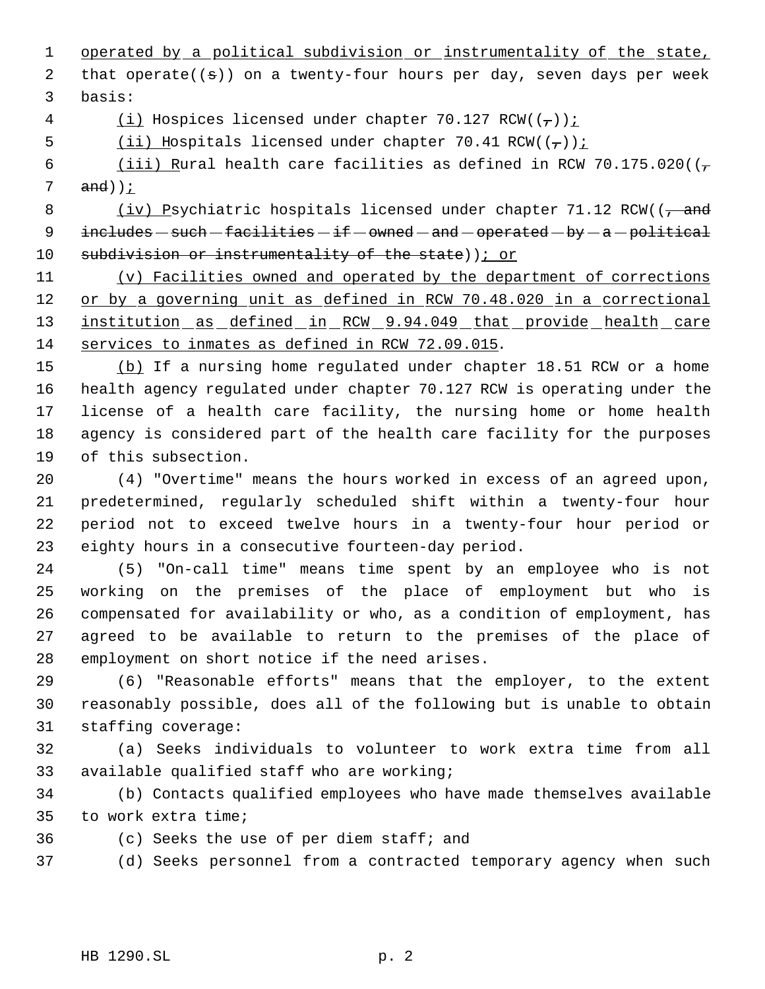1 operated by a political subdivision or instrumentality of the state, 2 that operate( $(\theta)$ ) on a twenty-four hours per day, seven days per week basis:

4 (i) Hospices licensed under chapter 70.127 RCW( $(\frac{1}{1})$ ):

5 (ii) Hospitals licensed under chapter 70.41 RCW( $(\tau)$ ):

6 (iii) Rural health care facilities as defined in RCW 70.175.020( $(\frac{1}{f})$ and));

8 (iv) Psychiatric hospitals licensed under chapter 71.12 RCW(( $\frac{1}{f}$  and  $int$  includes  $-$  such  $-$  facilities  $-$  if  $-$  owned  $-$  and  $-$  operated  $-$  by  $-$  a  $-$  political 10 subdivision or instrumentality of the state) ; or

 (v) Facilities owned and operated by the department of corrections 12 or by a governing unit as defined in RCW 70.48.020 in a correctional 13 institution as defined in RCW 9.94.049 that provide health care services to inmates as defined in RCW 72.09.015.

 (b) If a nursing home regulated under chapter 18.51 RCW or a home health agency regulated under chapter 70.127 RCW is operating under the license of a health care facility, the nursing home or home health agency is considered part of the health care facility for the purposes of this subsection.

 (4) "Overtime" means the hours worked in excess of an agreed upon, predetermined, regularly scheduled shift within a twenty-four hour period not to exceed twelve hours in a twenty-four hour period or eighty hours in a consecutive fourteen-day period.

 (5) "On-call time" means time spent by an employee who is not working on the premises of the place of employment but who is compensated for availability or who, as a condition of employment, has agreed to be available to return to the premises of the place of employment on short notice if the need arises.

 (6) "Reasonable efforts" means that the employer, to the extent reasonably possible, does all of the following but is unable to obtain staffing coverage:

 (a) Seeks individuals to volunteer to work extra time from all available qualified staff who are working;

 (b) Contacts qualified employees who have made themselves available to work extra time;

(c) Seeks the use of per diem staff; and

(d) Seeks personnel from a contracted temporary agency when such